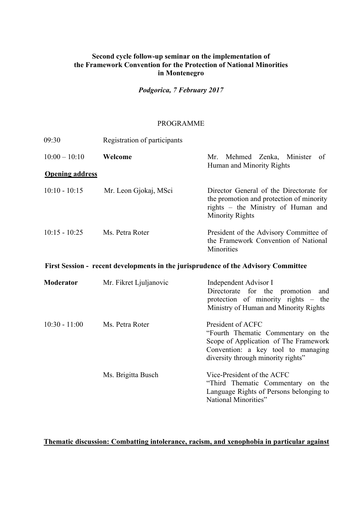## **Second cycle follow-up seminar on the implementation of the Framework Convention for the Protection of National Minorities in Montenegro**

*Podgorica, 7 February 2017*

## PROGRAMME

| 09:30                  | Registration of participants |                                                                                                                                                                              |
|------------------------|------------------------------|------------------------------------------------------------------------------------------------------------------------------------------------------------------------------|
| $10:00 - 10:10$        | Welcome                      | Mehmed Zenka, Minister<br>Mr.<br>of<br>Human and Minority Rights                                                                                                             |
| <b>Opening address</b> |                              |                                                                                                                                                                              |
| $10:10 - 10:15$        | Mr. Leon Gjokaj, MSci        | Director General of the Directorate for<br>the promotion and protection of minority<br>rights – the Ministry of Human and<br><b>Minority Rights</b>                          |
| $10:15 - 10:25$        | Ms. Petra Roter              | President of the Advisory Committee of<br>the Framework Convention of National<br>Minorities                                                                                 |
|                        |                              | First Session - recent developments in the jurisprudence of the Advisory Committee                                                                                           |
| Moderator              | Mr. Fikret Ljuljanovic       | Independent Advisor I<br>Directorate for the promotion<br>and<br>protection of minority rights – the<br>Ministry of Human and Minority Rights                                |
| $10:30 - 11:00$        | Ms. Petra Roter              | President of ACFC<br>"Fourth Thematic Commentary on the<br>Scope of Application of The Framework<br>Convention: a key tool to managing<br>diversity through minority rights" |
|                        | Ms. Brigitta Busch           | Vice-President of the ACFC<br>"Third Thematic Commentary on the<br>Language Rights of Persons belonging to<br>National Minorities"                                           |

**Thematic discussion: Combatting intolerance, racism, and xenophobia in particular against**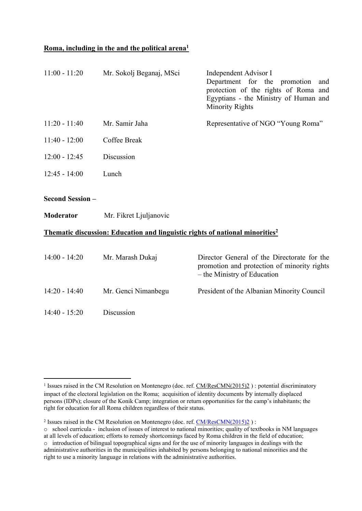## **Roma, including in the and the political arena<sup>1</sup>**

| $11:00 - 11:20$         | Mr. Sokolj Beganaj, MSci | Independent Advisor I<br>Department for the promotion<br>and<br>protection of the rights of Roma and<br>Egyptians - the Ministry of Human and<br><b>Minority Rights</b> |
|-------------------------|--------------------------|-------------------------------------------------------------------------------------------------------------------------------------------------------------------------|
| $11:20 - 11:40$         | Mr. Samir Jaha           | Representative of NGO "Young Roma"                                                                                                                                      |
| $11:40 - 12:00$         | Coffee Break             |                                                                                                                                                                         |
| $12:00 - 12:45$         | Discussion               |                                                                                                                                                                         |
| $12:45 - 14:00$         | Lunch                    |                                                                                                                                                                         |
| <b>Second Session -</b> |                          |                                                                                                                                                                         |
| <b>Moderator</b>        | Mr. Fikret Ljuljanovic   |                                                                                                                                                                         |
|                         |                          | <b>Thematic discussion: Education and linguistic rights of national minorities<sup>2</sup></b>                                                                          |
| $14:00 - 14:20$         | Mr. Marash Dukaj         | Director General of the Directorate for the<br>promotion and protection of minority rights<br>– the Ministry of Education                                               |
| $14:20 - 14:40$         | Mr. Genci Nimanbegu      | President of the Albanian Minority Council                                                                                                                              |
| $14:40 - 15:20$         | Discussion               |                                                                                                                                                                         |

<sup>&</sup>lt;sup>1</sup> Issues raised in the CM Resolution on Montenegro (doc. ref. [CM/ResCMN\(2015\)2](https://search.coe.int/cm/Pages/result_details.aspx?Reference=CM/ResCMN(2015)2)) : potential discriminatory impact of the electoral legislation on the Roma; acquisition of identity documents by internally displaced persons (IDPs); closure of the Konik Camp; integration or return opportunities for the camp's inhabitants; the right for education for all Roma children regardless of their status.

<sup>&</sup>lt;sup>2</sup> Issues raised in the CM Resolution on Montenegro (doc. ref. [CM/ResCMN\(2015\)2](https://search.coe.int/cm/Pages/result_details.aspx?Reference=CM/ResCMN(2015)2)) :

o school curricula - inclusion of issues of interest to national minorities; quality of textbooks in NM languages at all levels of education; efforts to remedy shortcomings faced by Roma children in the field of education;  $\circ$  introduction of bilingual topographical signs and for the use of minority languages in dealings with the administrative authorities in the municipalities inhabited by persons belonging to national minorities and the right to use a minority language in relations with the administrative authorities.